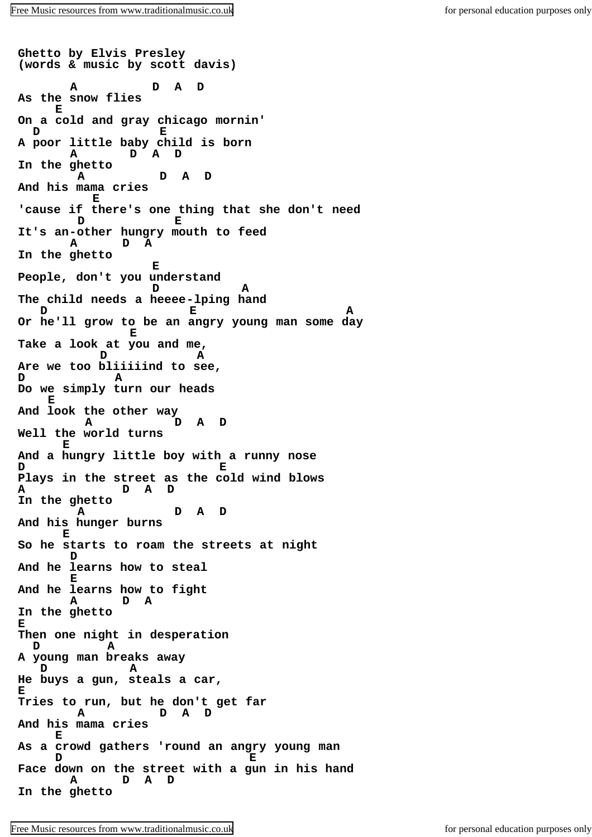**Ghetto by Elvis Presley (words & music by scott davis) A D A D As the snow flies E On a cold and gray chicago mornin' D E A poor little baby child is born A D A D In the ghetto A D A D And his mama cries E 'cause if there's one thing that she don't need D E It's an-other hungry mouth to feed A D A In the ghetto E People, don't you understand D A The child needs a heeee-lping hand D E** A **Or he'll grow to be an angry young man some day E Take a look at you and me, D A Are we too bliiiiind to see, D A Do we simply turn our heads E And look the other way A D A D Well the world turns E And a hungry little boy with a runny nose D E Plays in the street as the cold wind blows A D A D In the ghetto A D A D And his hunger burns E So he starts to roam the streets at night D And he learns how to steal E And he learns how to fight A D A In the ghetto E Then one night in desperation D A A young man breaks away D A He buys a gun, steals a car, E Tries to run, but he don't get far**<br> **A D A D A D A D And his mama cries E As a crowd gathers 'round an angry young man D E Face down on the street with a gun in his hand A D A D In the ghetto**